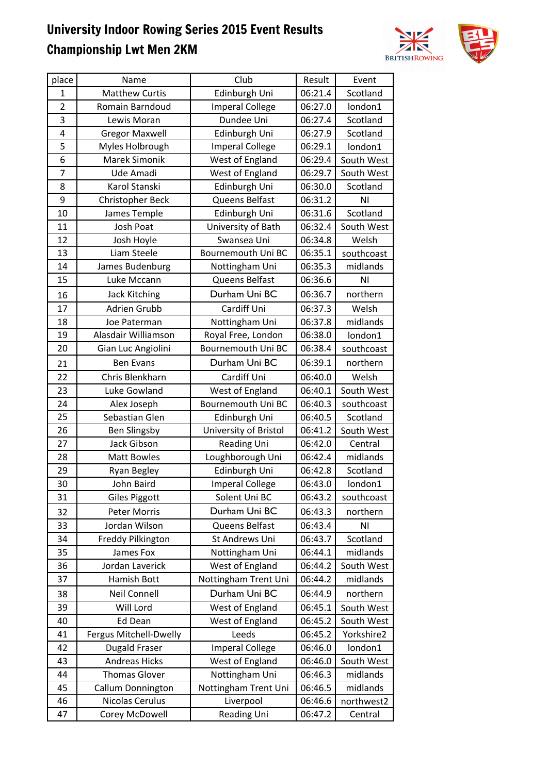

| place          | Name                   | Club                   | Result  | Event      |
|----------------|------------------------|------------------------|---------|------------|
| $\mathbf{1}$   | <b>Matthew Curtis</b>  | Edinburgh Uni          | 06:21.4 | Scotland   |
| $\overline{2}$ | Romain Barndoud        | <b>Imperal College</b> | 06:27.0 | london1    |
| 3              | Lewis Moran            | Dundee Uni             | 06:27.4 | Scotland   |
| 4              | <b>Gregor Maxwell</b>  | Edinburgh Uni          | 06:27.9 | Scotland   |
| 5              | Myles Holbrough        | <b>Imperal College</b> | 06:29.1 | london1    |
| 6              | Marek Simonik          | West of England        | 06:29.4 | South West |
| 7              | Ude Amadi              | West of England        | 06:29.7 | South West |
| 8              | Karol Stanski          | Edinburgh Uni          | 06:30.0 | Scotland   |
| 9              | Christopher Beck       | Queens Belfast         | 06:31.2 | ΝI         |
| 10             | James Temple           | Edinburgh Uni          | 06:31.6 | Scotland   |
| 11             | Josh Poat              | University of Bath     | 06:32.4 | South West |
| 12             | Josh Hoyle             | Swansea Uni            | 06:34.8 | Welsh      |
| 13             | Liam Steele            | Bournemouth Uni BC     | 06:35.1 | southcoast |
| 14             | James Budenburg        | Nottingham Uni         | 06:35.3 | midlands   |
| 15             | Luke Mccann            | Queens Belfast         | 06:36.6 | ΝI         |
| 16             | <b>Jack Kitching</b>   | Durham Uni BC          | 06:36.7 | northern   |
| 17             | <b>Adrien Grubb</b>    | Cardiff Uni            | 06:37.3 | Welsh      |
| 18             | Joe Paterman           | Nottingham Uni         | 06:37.8 | midlands   |
| 19             | Alasdair Williamson    | Royal Free, London     | 06:38.0 | london1    |
| 20             | Gian Luc Angiolini     | Bournemouth Uni BC     | 06:38.4 | southcoast |
|                | <b>Ben Evans</b>       | Durham Uni BC          | 06:39.1 | northern   |
| 21             |                        |                        |         |            |
| 22             | Chris Blenkharn        | Cardiff Uni            | 06:40.0 | Welsh      |
| 23             | Luke Gowland           | West of England        | 06:40.1 | South West |
| 24             | Alex Joseph            | Bournemouth Uni BC     | 06:40.3 | southcoast |
| 25             | Sebastian Glen         | Edinburgh Uni          | 06:40.5 | Scotland   |
| 26             | <b>Ben Slingsby</b>    | University of Bristol  | 06:41.2 | South West |
| 27             | Jack Gibson            | Reading Uni            | 06:42.0 | Central    |
| 28             | <b>Matt Bowles</b>     | Loughborough Uni       | 06:42.4 | midlands   |
| 29             | Ryan Begley            | Edinburgh Uni          | 06:42.8 | Scotland   |
| 30             | John Baird             | <b>Imperal College</b> | 06:43.0 | london1    |
| 31             | <b>Giles Piggott</b>   | Solent Uni BC          | 06:43.2 | southcoast |
| 32             | Peter Morris           | Durham Uni BC          | 06:43.3 | northern   |
| 33             | Jordan Wilson          | Queens Belfast         | 06:43.4 | ΝI         |
| 34             | Freddy Pilkington      | St Andrews Uni         | 06:43.7 | Scotland   |
| 35             | James Fox              | Nottingham Uni         | 06:44.1 | midlands   |
| 36             | Jordan Laverick        | West of England        | 06:44.2 | South West |
| 37             | Hamish Bott            | Nottingham Trent Uni   | 06:44.2 | midlands   |
| 38             | Neil Connell           | Durham Uni BC          | 06:44.9 | northern   |
| 39             | Will Lord              | West of England        | 06:45.1 | South West |
| 40             | Ed Dean                | West of England        | 06:45.2 | South West |
| 41             | Fergus Mitchell-Dwelly | Leeds                  | 06:45.2 | Yorkshire2 |
| 42             | <b>Dugald Fraser</b>   | <b>Imperal College</b> | 06:46.0 | london1    |
| 43             | <b>Andreas Hicks</b>   | West of England        | 06:46.0 | South West |
| 44             | <b>Thomas Glover</b>   | Nottingham Uni         | 06:46.3 | midlands   |
| 45             | Callum Donnington      | Nottingham Trent Uni   | 06:46.5 | midlands   |
| 46             | Nicolas Cerulus        | Liverpool              | 06:46.6 | northwest2 |
| 47             | Corey McDowell         | Reading Uni            | 06:47.2 | Central    |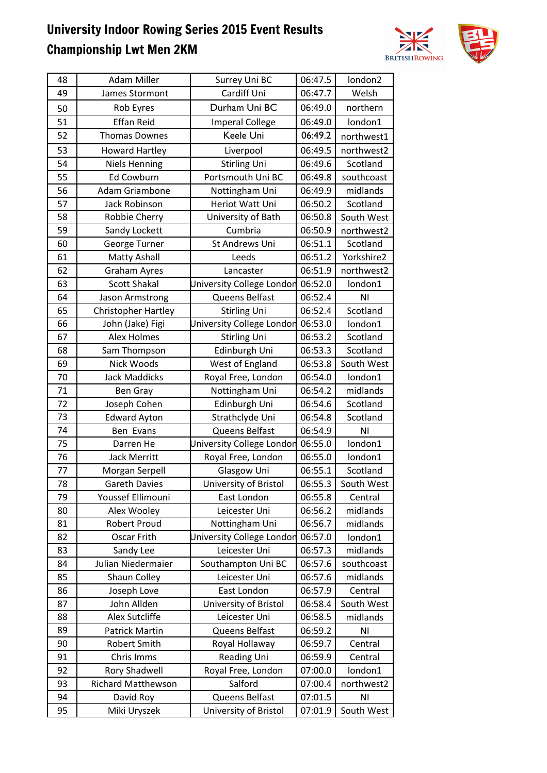

| 48 | <b>Adam Miller</b>         | Surrey Uni BC                    | 06:47.5 | london2        |
|----|----------------------------|----------------------------------|---------|----------------|
| 49 | James Stormont             | Cardiff Uni                      | 06:47.7 | Welsh          |
| 50 | Rob Eyres                  | Durham Uni BC                    | 06:49.0 | northern       |
| 51 | <b>Effan Reid</b>          | <b>Imperal College</b>           | 06:49.0 | london1        |
| 52 | <b>Thomas Downes</b>       | Keele Uni                        | 06:49.2 | northwest1     |
| 53 | <b>Howard Hartley</b>      | Liverpool                        | 06:49.5 | northwest2     |
| 54 | <b>Niels Henning</b>       | <b>Stirling Uni</b>              | 06:49.6 | Scotland       |
| 55 | Ed Cowburn                 | Portsmouth Uni BC                | 06:49.8 | southcoast     |
| 56 | Adam Griambone             | Nottingham Uni                   | 06:49.9 | midlands       |
| 57 | Jack Robinson              | Heriot Watt Uni                  | 06:50.2 | Scotland       |
| 58 | Robbie Cherry              | University of Bath               | 06:50.8 | South West     |
| 59 | Sandy Lockett              | Cumbria                          | 06:50.9 | northwest2     |
| 60 | George Turner              | St Andrews Uni                   | 06:51.1 | Scotland       |
| 61 | <b>Matty Ashall</b>        | Leeds                            | 06:51.2 | Yorkshire2     |
| 62 | <b>Graham Ayres</b>        | Lancaster                        | 06:51.9 | northwest2     |
| 63 | <b>Scott Shakal</b>        | University College London        | 06:52.0 | london1        |
| 64 | Jason Armstrong            | Queens Belfast                   | 06:52.4 | NI             |
| 65 | <b>Christopher Hartley</b> | <b>Stirling Uni</b>              | 06:52.4 | Scotland       |
| 66 | John (Jake) Figi           | University College London        | 06:53.0 | london1        |
| 67 | <b>Alex Holmes</b>         | <b>Stirling Uni</b>              | 06:53.2 | Scotland       |
| 68 | Sam Thompson               | Edinburgh Uni                    | 06:53.3 | Scotland       |
| 69 | Nick Woods                 | West of England                  | 06:53.8 | South West     |
| 70 | <b>Jack Maddicks</b>       | Royal Free, London               | 06:54.0 | london1        |
| 71 | <b>Ben Gray</b>            | Nottingham Uni                   | 06:54.2 | midlands       |
| 72 | Joseph Cohen               | Edinburgh Uni                    | 06:54.6 | Scotland       |
| 73 | <b>Edward Ayton</b>        | Strathclyde Uni                  | 06:54.8 | Scotland       |
| 74 | Ben Evans                  | Queens Belfast                   | 06:54.9 | N <sub>l</sub> |
| 75 | Darren He                  | <b>Jniversity College London</b> | 06:55.0 | london1        |
| 76 | <b>Jack Merritt</b>        | Royal Free, London               | 06:55.0 | london1        |
| 77 | Morgan Serpell             | Glasgow Uni                      | 06:55.1 | Scotland       |
| 78 | <b>Gareth Davies</b>       | University of Bristol            | 06:55.3 | South West     |
| 79 | Youssef Ellimouni          | East London                      | 06:55.8 | Central        |
| 80 | Alex Wooley                | Leicester Uni                    | 06:56.2 | midlands       |
| 81 | <b>Robert Proud</b>        | Nottingham Uni                   | 06:56.7 | midlands       |
| 82 | Oscar Frith                | <b>Jniversity College London</b> | 06:57.0 | london1        |
| 83 | Sandy Lee                  | Leicester Uni                    | 06:57.3 | midlands       |
| 84 | Julian Niedermaier         | Southampton Uni BC               | 06:57.6 | southcoast     |
| 85 | Shaun Colley               | Leicester Uni                    | 06:57.6 | midlands       |
| 86 | Joseph Love                | East London                      | 06:57.9 | Central        |
| 87 | John Allden                | University of Bristol            | 06:58.4 | South West     |
| 88 | Alex Sutcliffe             | Leicester Uni                    | 06:58.5 | midlands       |
| 89 | <b>Patrick Martin</b>      | Queens Belfast                   | 06:59.2 | NI             |
| 90 | <b>Robert Smith</b>        | Royal Hollaway                   | 06:59.7 | Central        |
| 91 | Chris Imms                 | <b>Reading Uni</b>               | 06:59.9 | Central        |
| 92 | <b>Rory Shadwell</b>       | Royal Free, London               | 07:00.0 | london1        |
| 93 | <b>Richard Matthewson</b>  | Salford                          | 07:00.4 | northwest2     |
| 94 | David Roy                  | Queens Belfast                   | 07:01.5 | N <sub>1</sub> |
| 95 | Miki Uryszek               | University of Bristol            | 07:01.9 | South West     |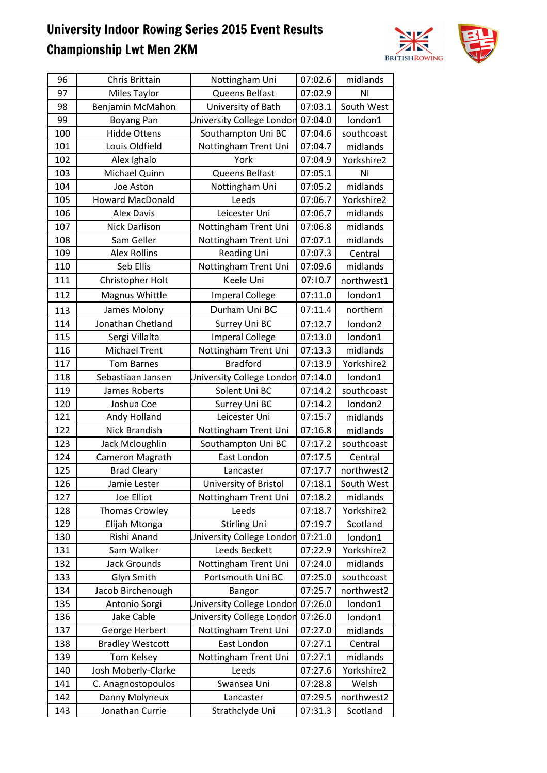

| 96         | Chris Brittain                | Nottingham Uni                             | 07:02.6            | midlands              |
|------------|-------------------------------|--------------------------------------------|--------------------|-----------------------|
| 97         | Miles Taylor                  | Queens Belfast                             | 07:02.9            | ΝI                    |
| 98         | Benjamin McMahon              | University of Bath                         | 07:03.1            | South West            |
| 99         | Boyang Pan                    | University College London                  | 07:04.0            | london1               |
| 100        | <b>Hidde Ottens</b>           | Southampton Uni BC                         | 07:04.6            | southcoast            |
| 101        | Louis Oldfield                | Nottingham Trent Uni                       | 07:04.7            | midlands              |
| 102        | Alex Ighalo                   | York                                       | 07:04.9            | Yorkshire2            |
| 103        | Michael Quinn                 | Queens Belfast                             | 07:05.1            | ΝI                    |
| 104        | Joe Aston                     | Nottingham Uni                             | 07:05.2            | midlands              |
| 105        | <b>Howard MacDonald</b>       | Leeds                                      | 07:06.7            | Yorkshire2            |
| 106        | <b>Alex Davis</b>             | Leicester Uni                              | 07:06.7            | midlands              |
| 107        | Nick Darlison                 | Nottingham Trent Uni                       | 07:06.8            | midlands              |
| 108        | Sam Geller                    | Nottingham Trent Uni                       | 07:07.1            | midlands              |
| 109        | <b>Alex Rollins</b>           | Reading Uni                                | 07:07.3            | Central               |
| 110        | Seb Ellis                     | Nottingham Trent Uni                       | 07:09.6            | midlands              |
| 111        | Christopher Holt              | Keele Uni                                  | 07:10.7            | northwest1            |
| 112        | Magnus Whittle                | <b>Imperal College</b>                     | 07:11.0            | london1               |
| 113        | James Molony                  | Durham Uni BC                              | 07:11.4            | northern              |
| 114        | Jonathan Chetland             | Surrey Uni BC                              | 07:12.7            | london <sub>2</sub>   |
| 115        | Sergi Villalta                | <b>Imperal College</b>                     | 07:13.0            | london1               |
| 116        | <b>Michael Trent</b>          |                                            | 07:13.3            | midlands              |
| 117        | <b>Tom Barnes</b>             | Nottingham Trent Uni<br><b>Bradford</b>    | 07:13.9            | Yorkshire2            |
|            |                               |                                            |                    |                       |
| 118<br>119 | Sebastiaan Jansen             | University College London<br>Solent Uni BC | 07:14.0<br>07:14.2 | london1               |
| 120        | James Roberts<br>Joshua Coe   |                                            | 07:14.2            | southcoast<br>london2 |
| 121        |                               | Surrey Uni BC                              | 07:15.7            | midlands              |
|            | Andy Holland<br>Nick Brandish | Leicester Uni                              |                    |                       |
| 122<br>123 |                               | Nottingham Trent Uni<br>Southampton Uni BC | 07:16.8            | midlands              |
|            | Jack Mcloughlin               |                                            | 07:17.2            | southcoast            |
| 124        | Cameron Magrath               | East London                                | 07:17.5<br>07:17.7 | Central               |
| 125        | <b>Brad Cleary</b>            | Lancaster                                  |                    | northwest2            |
| 126        | Jamie Lester                  | University of Bristol                      | 07:18.1            | South West            |
| 127        | Joe Elliot                    | Nottingham Trent Uni                       | 07:18.2            | midlands              |
| 128        | <b>Thomas Crowley</b>         | Leeds                                      | 07:18.7            | Yorkshire2            |
| 129        | Elijah Mtonga                 | <b>Stirling Uni</b>                        | 07:19.7            | Scotland              |
| 130        | Rishi Anand                   | University College London                  | 07:21.0            | london1               |
| 131        | Sam Walker                    | Leeds Beckett                              | 07:22.9            | Yorkshire2            |
| 132        | <b>Jack Grounds</b>           | Nottingham Trent Uni                       | 07:24.0            | midlands              |
| 133        | Glyn Smith                    | Portsmouth Uni BC                          | 07:25.0            | southcoast            |
| 134        | Jacob Birchenough             | Bangor                                     | 07:25.7            | northwest2            |
| 135        | Antonio Sorgi                 | <b>Jniversity College London</b>           | 07:26.0            | london1               |
| 136        | Jake Cable                    | University College London                  | 07:26.0            | london1               |
| 137        | George Herbert                | Nottingham Trent Uni                       | 07:27.0            | midlands              |
| 138        | <b>Bradley Westcott</b>       | East London                                | 07:27.1            | Central               |
| 139        | Tom Kelsey                    | Nottingham Trent Uni                       | 07:27.1            | midlands              |
| 140        | Josh Moberly-Clarke           | Leeds                                      | 07:27.6            | Yorkshire2            |
| 141        | C. Anagnostopoulos            | Swansea Uni                                | 07:28.8            | Welsh                 |
| 142        | Danny Molyneux                | Lancaster                                  | 07:29.5            | northwest2            |
| 143        | Jonathan Currie               | Strathclyde Uni                            | 07:31.3            | Scotland              |